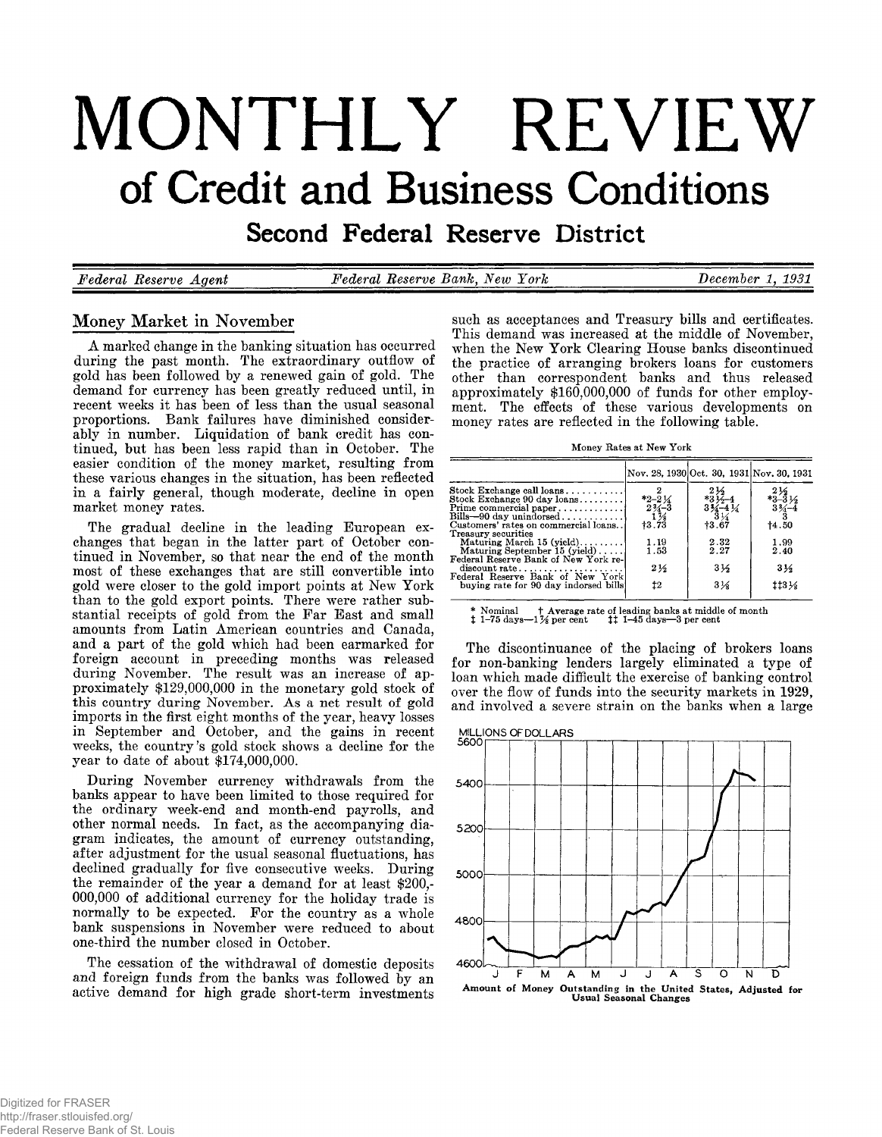# **MONTHLY REVIEW of Credit and Business Conditions**

Second Federal Reserve District

*Federal Reserve Agent***\_\_\_\_\_\_\_\_** *Federal Reserve Bank, New York***\_\_\_\_\_\_\_\_\_\_\_\_** *December 1, 1931*

# **Money Market in November**

A marked change in the banking situation has occurred<br>during the past month. The extraordinary outflow of<br>gold has been followed by a renewed gain of gold. The<br>demand for currency has been greatly reduced until, in<br>recent

The gradual decline in the leading European ex-<br>changes that began in the latter part of October con-<br>tinued in November, so that near the end of the month<br>most of these exchanges that are still convertible into<br>gold were

During November currency withdrawals from the<br>banks appear to have been limited to those required for<br>the ordinary week-end and month-end payrolls, and<br>other normal needs. In fact, as the accompanying dia-<br>gram indicates,

**The cessation of the withdrawal of domestic deposits and foreign funds from the banks was followed by an active demand for high grade short-term investments**

such as acceptances and Treasury bills and certificates.<br>This demand was increased at the middle of November,<br>when the New York Clearing House banks discontinued<br>the practice of arranging brokers loans for customers<br>other

Money Rates at New York

|                                                                                                   |                                                | Nov. 28, 1930 Oct. 30, 1931 Nov. 30, 1931 |                                                                         |
|---------------------------------------------------------------------------------------------------|------------------------------------------------|-------------------------------------------|-------------------------------------------------------------------------|
|                                                                                                   |                                                |                                           |                                                                         |
| Stock Exchange call loans<br>Stock Exchange 90 day loans                                          | $*2 - 2\frac{1}{4}$                            | $*3\frac{2}{2}$<br>$*3\frac{2}{2}$ -4     |                                                                         |
| Prime commercial paper<br>Bills-90 day unindorsed                                                 | $\frac{2\frac{3}{4}-3}{1\frac{7}{8}}$<br>+3.73 | $3\frac{\sqrt{2}-4}{3}\frac{1}{4}$        | $\substack{2 \frac{1}{2} \\ 3-3 \frac{1}{2} \\ 3 \frac{2}{4} - 4 \\ 3}$ |
| Customers' rates on commercial loans                                                              |                                                | 13.67                                     | 14.50                                                                   |
| Treasury securities<br>Maturing March $15$ (yield)<br>Maturing September 15 (yield)               | 1.19<br>1.53                                   | 2.32<br>2.27                              | 1.99<br>2.40                                                            |
| Federal Reserve Bank of New York re-<br>$discount rate \dots \dots \dots \dots \dots \dots \dots$ | $2\frac{1}{2}$                                 | $3\frac{1}{2}$                            | $3\frac{1}{2}$                                                          |
| Federal Reserve Bank of New York                                                                  | 12                                             |                                           |                                                                         |
| buving rate for 90 day indorsed bills!                                                            |                                                | $3\frac{1}{6}$                            | $113\frac{1}{2}$                                                        |

\* Nominal the Average rate of leading banks at middle of month<br>**‡** 1–75 days—1½ per cent the 11-45 days—3 per cent

The discontinuance of the placing of brokers loans<br>for non-banking lenders largely eliminated a type of<br>loan which made difficult the exercise of banking control<br>over the flow of funds into the security markets in 1929,<br>an

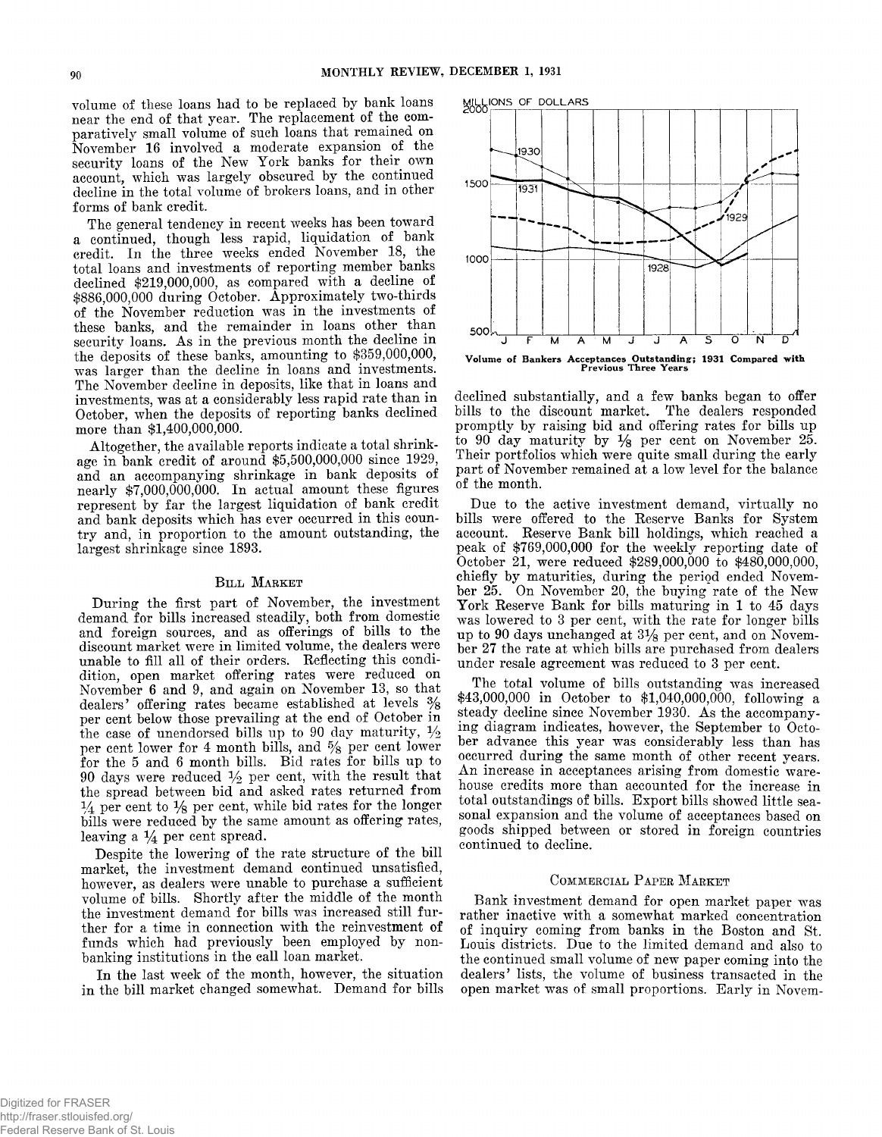**volume of these loans had to be replaced by bank loans near the end of that year. The replacement of the comparatively small volume of such loans that remained on November 16 involved a moderate expansion** *oi* **the security loans of the New York banks for their own account, which was largely obscured by the continued decline in the total volume of brokers loans, and in other forms of bank credit.**

**The general tendency in recent weeks has been toward a continued, though less rapid, liquidation of bank credit. In the three weeks ended November 18, the total loans and investments of reporting member banks declined \$219,000,000, as compared with a decline of \$886,000,000 during October. Approximately two-thirds of the November reduction was in the investments of these banks, and the remainder in loans other ^ than security loans. As in the previous month the decline in the deposits of these banks, amounting to \$359,000,000, was larger than the decline in loans and investments. The November decline in deposits, like that in loans and investments, was at a considerably less rapid rate than in October, when the deposits of reporting banks declined more than \$1,400,000,000.**

**Altogether, the available reports indicate a total shrinkage in bank credit of around \$5,500,000,000 since 1929, and an accompanying shrinkage in bank deposits of nearly \$7,000,000,000. In actual amount these figures represent by far the largest liquidation of bank credit and bank deposits which has ever occurred in this country and, in proportion to the amount outstanding, the largest shrinkage since 1893.**

#### **BILL MARKET**

**During the first part of November, the investment demand for bills increased steadily, both from domestic and foreign sources, and as offerings of bills to the discount market were in limited volume, the dealers were unable to fill all of their orders. Reflecting this condidition, open market offering rates were reduced on November 6 and 9, and again on November 13, so that dealers' offering rates became established at levels % per cent below those prevailing at the end of October in** the case of unendorsed bills up to 90 day maturity,  $\frac{1}{2}$ **per cent lower for 4 month bills, and % per cent lower for the 5 and 6 month bills. Bid rates for bills up to 90 days were reduced % per cent, with the result that the spread between bid and asked rates returned from % per cent to % per cent, while bid rates for the longer bills were reduced by the same amount as offering rates,** leaving a  $\frac{1}{4}$  per cent spread.

**Despite the lowering of the rate structure of the bill market, the investment demand continued unsatisfied, however, as dealers were unable to purchase a sufficient volume of bills. Shortly after the middle of the month the investment demand for bills was increased still further for a time in connection with the reinvestment of funds which had previously been employed by nonbanking institutions in the call loan market.**

**In the last week of the month, however, the situation in the bill market changed somewhat. Demand for bills**



**declined substantially, and a few banks began to offer bills to the discount market. The dealers responded promptly by raising bid and offering rates for bills up to 90 day maturity by % per cent on November 25. Their portfolios which were quite small during the early part of November remained at a low level for the balance of the month.**

**Due to the active investment demand, virtually no bills were offered to the Reserve Banks for System account. Reserve Bank bill holdings, which reached a peak of \$769,000,000 for the weekly reporting date of October 21, were reduced \$289,000,000 to \$480,000,000, chiefly by maturities, during the period ended November 25. On November 20, the buying rate of the New York Reserve Bank for bills maturing in 1 to 45 days was lowered to 3 per cent, with the rate for longer bills up to 90 days unchanged at 3% per cent, and on November 27 the rate at which bills are purchased from dealers under resale agreement was reduced to 3 per cent.**

**The total volume of bills outstanding was increased \$43,000,000 in October to \$1,040,000,000, following a steady decline since November 1930. As the accompanying diagram indicates, however, the September to October advance this year was considerably less than has occurred during the same month of other recent years. An increase in acceptances arising from domestic warehouse credits more than accounted for the increase in total outstandings of bills. Export bills showed little seasonal expansion and the volume of acceptances based on goods shipped between or stored in foreign countries continued to decline.**

#### COMMERCIAL PAPER MARKET

**Bank investment demand for open market paper was rather inactive with a somewhat marked concentration of inquiry coming from banks in the Boston and St. Louis districts. Due to the limited demand and also to the continued small volume of new paper coming into the dealers' lists, the volume of business transacted in the open market was of small proportions. Early in Novem-**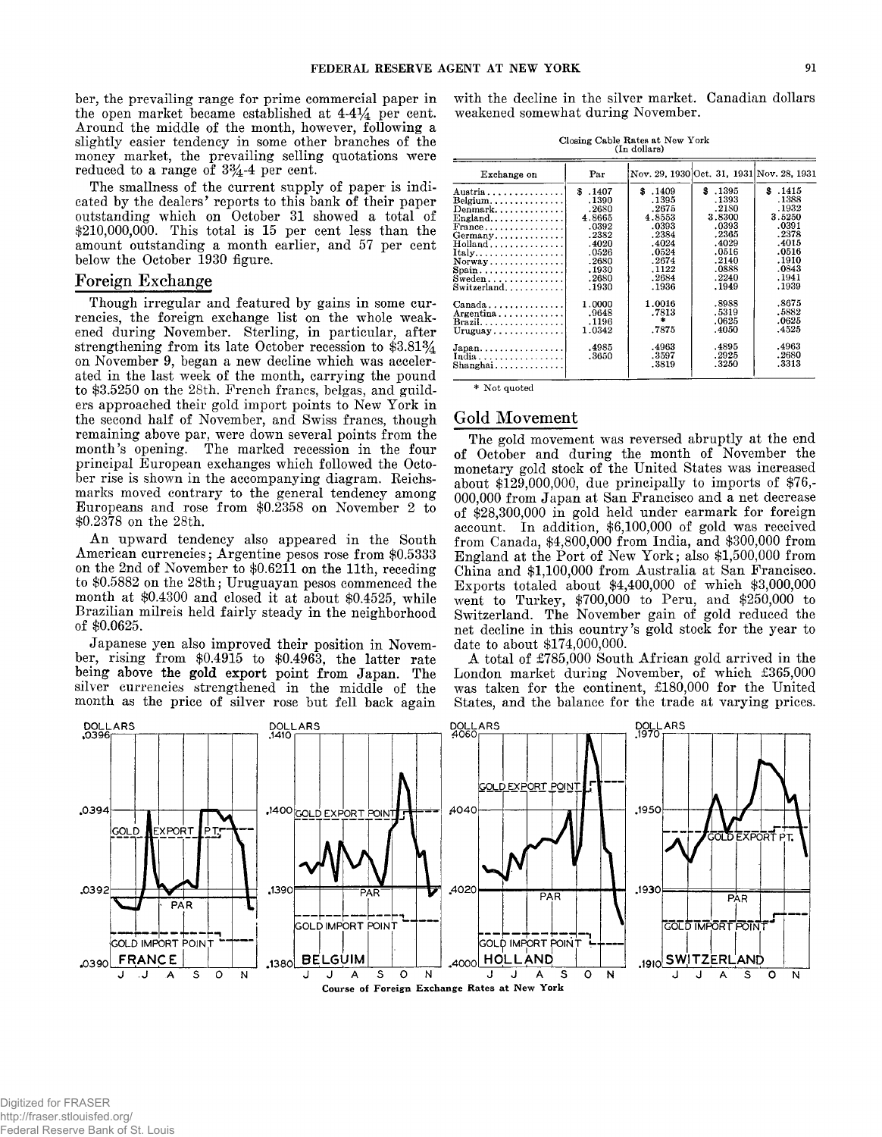**ber, the prevailing range for prime commercial paper in the open market became established at** *4 -4 %* **per cent. Around the middle of the month, however, following a slightly easier tendency in some other branches of the money market, the prevailing selling quotations were reduced to a range of 3%-4 per cent.**

**The smallness of the current supply of paper is indicated by the dealers' reports to this bank of their paper outstanding which on October 31 showed a total of \$210,000,000. This total is 15 per cent less than the amount outstanding a month earlier, and 57 per cent below the October 1930 figure.**

## **Foreign Exchange**

**Though irregular and featured by gains in some currencies, the foreign exchange list on the whole weakened during November. Sterling, in particular, after strengthening from its late October recession to \$3.81% on November 9, began a new decline which was accelerated in the last week of the month, carrying the pound to \$3.5250 on the 28th. French francs, belgas, and guilders approached their gold import points to New York in the second half of November, and Swiss francs, though remaining above par, were down several points from the month's opening. The marked recession in the four principal European exchanges which followed the October rise is shown in the accompanying diagram. Reichsmarks moved contrary to the general tendency among Europeans and rose from \$0.2358 on November 2 to \$0.2378 on the 28th.**

**An upward tendency also appeared in the South American currencies; Argentine pesos rose from \$0.5333 on the 2nd of November to \$0.6211 on the 11th, receding to \$0.5882 on the 28th; Uruguayan pesos commenced the month at \$0.4300 and closed it at about \$0.4525, while Brazilian milreis held fairly steady in the neighborhood of \$0.0625.**

**Japanese yen also improved their position in November, rising from \$0.4915 to \$0.4963, the latter rate being above the gold export point from Japan. The** silver currencies strengthened in the middle of the **month as the price of silver rose but fell back again**

**with the decline in the silver market. Canadian dollars weakened somewhat during November.**

**Closing Cable Rates at New York**

| (In dollars)                                                                                                                                                                                               |                                                                                                             |                                                                                                             |                                                                                                              |                                                                                                             |  |  |  |  |
|------------------------------------------------------------------------------------------------------------------------------------------------------------------------------------------------------------|-------------------------------------------------------------------------------------------------------------|-------------------------------------------------------------------------------------------------------------|--------------------------------------------------------------------------------------------------------------|-------------------------------------------------------------------------------------------------------------|--|--|--|--|
| Exchange on                                                                                                                                                                                                | Par                                                                                                         |                                                                                                             |                                                                                                              | Nov. 29, 1930 Oct. 31, 1931 Nov. 28, 1931                                                                   |  |  |  |  |
| Austria<br>$Belgium \ldots \ldots \ldots \ldots$<br>Denmark<br>England.<br>$\text{France} \dots \dots \dots \dots \dots$<br>Germany<br>Italy<br>$Normay \ldots \ldots \ldots \ldots$<br>$S$ pain<br>Sweden | \$.1407<br>.1390<br>.2680<br>4.8665<br>.0392<br>.2382<br>.4020<br>.0526<br>.2680<br>.1930<br>.2680<br>.1930 | \$.1409<br>.1395<br>.2675<br>4.8553<br>.0393<br>.2384<br>.4024<br>.0524<br>.2674<br>.1122<br>.2684<br>.1936 | \$.1395<br>.1393<br>.2180<br>3.8300<br>.0393<br>.2365<br>.4029<br>.0516<br>.2140<br>.0888<br>.2240<br>. 1949 | \$.1415<br>.1388<br>.1932<br>3.5250<br>.0391<br>.2378<br>.4015<br>.0516<br>.1910<br>.0843<br>.1941<br>.1939 |  |  |  |  |
| $Canada, \ldots, \ldots, \ldots,$<br>$Argentina \ldots$<br>$Brazil. \ldots \ldots \ldots \ldots \ldots$<br>$Japan \ldots \ldots \ldots \ldots$<br>India<br>$Shanghai \ldots \ldots \ldots \ldots$          | 1.0000<br>.9648<br>.1196<br>1.0342<br>.4985<br>.3650                                                        | 1.0016<br>.7813<br>$\ast$<br>.7875<br>.4963<br>.3597<br>.3819                                               | .8988<br>.5319<br>.0625<br>.4050<br>.4895<br>.2925<br>.3250                                                  | .8675<br>.5882<br>.0625<br>.4525<br>.4963<br>.2680<br>.3313                                                 |  |  |  |  |

**\* Not quoted**

## Gold Movement

**The gold movement was reversed abruptly at the end of October and during the month of November the monetary gold stock of the United States was increased about \$129,000,000, due principally to imports of \$76,- 000,000 from Japan at San Francisco and a net decrease of \$28,300,000 in gold held under earmark for foreign account. In addition, \$6,100,000 of gold was received from Canada, \$4,800,000 from India, and \$300,000 from England at the Port of New York; also \$1,500,000 from China and \$1,100,000 from Australia at San Francisco. Exports totaled about \$4,400,000 of which \$3,000,000 went to Turkey, \$700,000 to Peru, and \$250,000 to Switzerland. The November gain of gold reduced the net decline in this country's gold stock for the year to date to about \$174,000,000.**

**A total of £785,000 South African gold arrived in the London market during November, of which £365,000 was taken for the continent, £180,000 for the United States, and the balance for the trade at varying prices.**

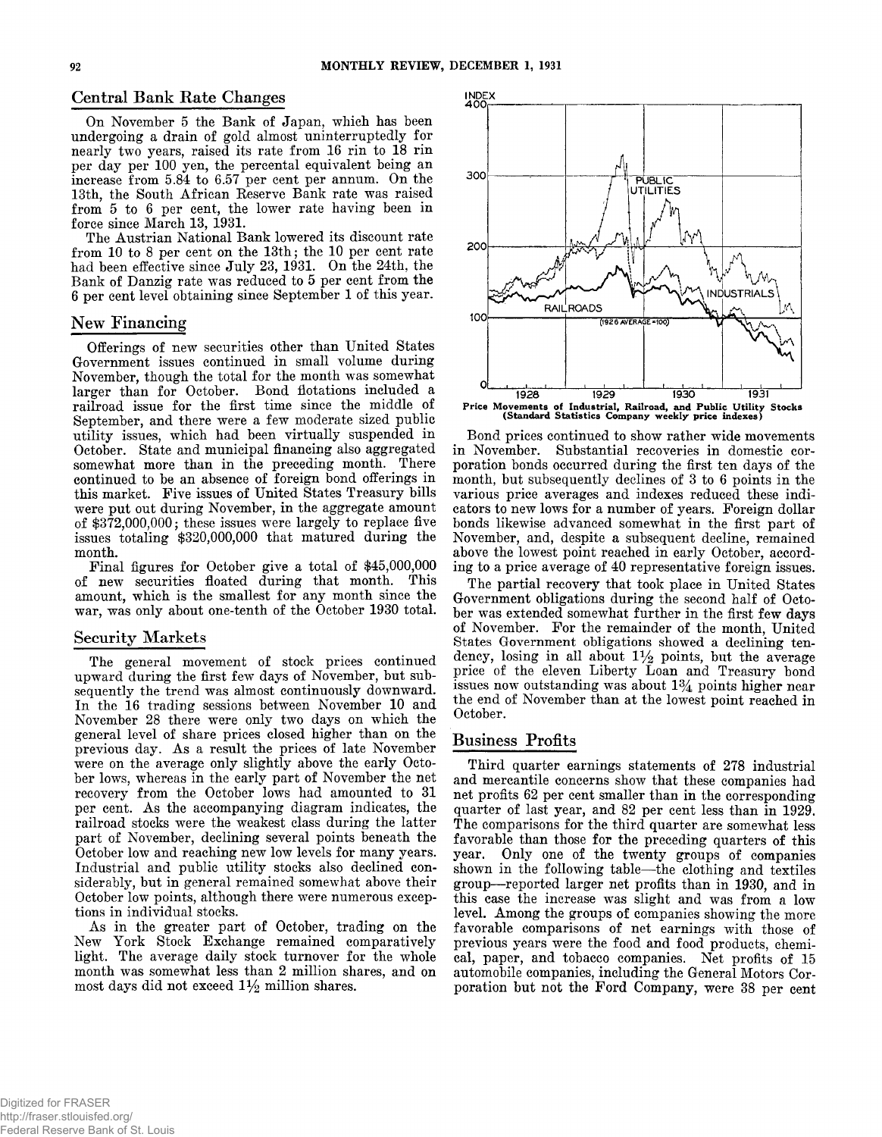# **Central Bank Rate Changes**

**On November 5 the Bank of Japan, which has been undergoing a drain of gold almost uninterruptedly for nearly two years, raised its rate from 16 rin to 18 rin per day per 100 yen, the percental equivalent being an increase from 5.84 to 6.57 per cent per annum. On the 13th, the South African Keserve Bank rate was raised from 5 to 6 per cent, the lower rate having been in force since March 13, 1931.**

**The Austrian National Bank lowered its discount rate from 10 to 8 per cent on the 13th; the 10 per cent rate had been effective since July 23, 1931. On the 24th, the Bank of Danzig rate was reduced to 5 per cent from the 6 per cent level obtaining since September 1 of this year.**

# New Financing

**Offerings of new securities other than United States Government issues continued in small volume during November, though the total for the month was somewhat larger than for October. Bond flotations included a railroad issue for the first time since the middle of September, and there were a few moderate sized public utility issues, which had been virtually suspended in October. State and municipal financing also aggregated somewhat more than in the preceding month. There continued to be an absence of foreign bond offerings in this market. Five issues of United States Treasury bills were put out during November, in the aggregate amount of \$372,000,000; these issues were largely to replace five issues totaling \$320,000,000 that matured during the month.**

**Final figures for October give a total of \$45,000,000 of new securities floated during that month. This amount, which is the smallest for any month since the war, was only about one-tenth of the October 1930 total.**

#### **Security Markets**

**The general movement of stock prices continued upward during the first few days of November, but subsequently the trend was almost continuously downward. In the 16 trading sessions between November 10 and November 28 there were only two days on which the general level of share prices closed higher than on the previous day. As a result the prices of late November** were on the average only slightly above the early Octo**ber lows, whereas in the early part of November the net recovery from the October lows had amounted to 31 per cent. As the accompanying diagram indicates, the railroad stocks were the weakest class during the latter part of November, declining several points beneath the October low and reaching new low levels for many years. Industrial and public utility stocks also declined considerably, but in general remained somewhat above their October low points, although there were numerous exceptions in individual stocks.**

**As in the greater part of October, trading on the New York Stock Exchange remained comparatively light. The average daily stock turnover for the whole month was somewhat less than 2 million shares, and on most days did not exceed 1% million shares.**



**1 9 2 8 192 9 1 9 3 0 1931 Price Movements of Industrial, Railroad, and Public Utility Stocks (Standard Statistics Company weekly price indexes)**

**Bond prices continued to show rather wide movements in November. Substantial recoveries in domestic corporation bonds occurred during the first ten days of the month, but subsequently declines of 3 to 6 points in the various price averages and indexes reduced these indicators to new lows for a number of years. Foreign dollar bonds likewise advanced somewhat in the first part of November, and, despite a subsequent decline, remained above the lowest point reached in early October, according to a price average of 40 representative foreign issues.**

**The partial recovery that took place in United States Government obligations during the second half of October was extended somewhat further in the first few days of November. For the remainder of the month, United States Government obligations showed a declining tendency, losing in all about 1% points, but the average price of the eleven Liberty Loan and Treasury bond issues now outstanding was about 1% points higher near the end of November than at the lowest point reached in October.**

## **Business Profits**

**Third quarter earnings statements of 278 industrial and mercantile concerns show that these companies had net profits 62 per cent smaller than in the corresponding quarter of last year, and 82 per cent less than in 1929. The comparisons for the third quarter are somewhat less favorable than those for the preceding quarters of this year. Only one of the twenty groups of companies shown in the following table— the clothing and textiles group— reported larger net profits than in 1930, and in this case the increase was slight and was from a low level. Among the groups of companies showing the more favorable comparisons of net earnings with those of previous years were the food and food products, chemical, paper, and tobacco companies. Net profits of 15 automobile companies, including the General Motors Corporation but not the Ford Company, were 38 per cent**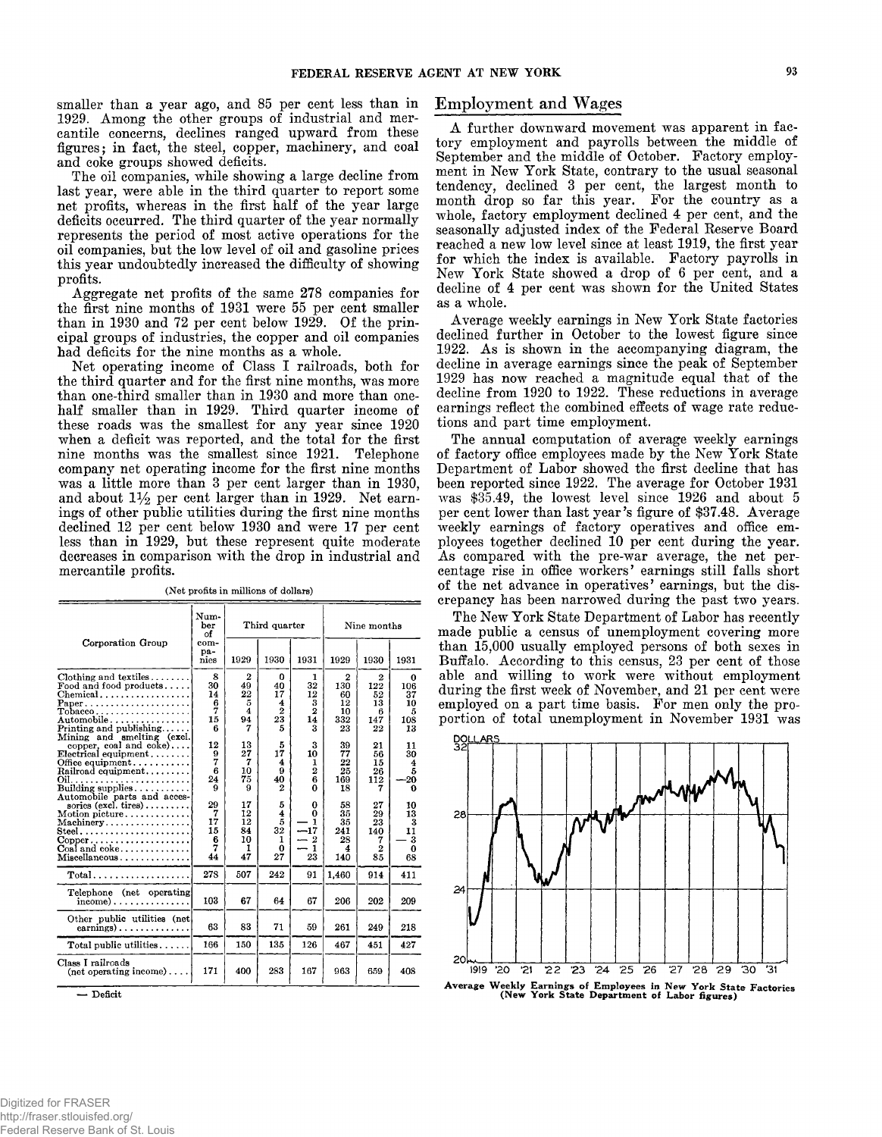**smaller than a year ago, and 85 per cent less than in 1929. Among the other groups of industrial and mercantile concerns, declines ranged upward from these figures; in fact, the steel, copper, machinery, and coal and coke groups showed deficits.**

**The oil companies, while showing a large decline from last year, were able in the third quarter to report some net profits, whereas in the first half of the year large deficits occurred. The third quarter of the year normally represents the period of most active operations for the oil companies, but the low level of oil and gasoline prices this year undoubtedly increased the difficulty of showing profits.**

**Aggregate net profits of the same 278 companies for the first nine months of 1931 were 55 per cent smaller than in 1930 and 72 per cent below 1929. Of the principal groups of industries, the copper and oil companies had deficits for the nine months as a whole.**

**Net operating income of Class I railroads, both for the third quarter and for the first nine months, was more than one-third smaller than in 1930 and more than onehalf smaller than in 1929. Third quarter income of these roads was the smallest for any year since 1920 when a deficit was reported, and the total for the first nine months was the smallest since 1921. Telephone company net operating income for the first nine months was a little more than 3 per cent larger than in 1930,** and about  $1\frac{1}{2}$  per cent larger than in 1929. Net earn**ings of other public utilities during the first nine months declined 12 per cent below 1930 and were 17 per cent less than in 1929, but these represent quite moderate decreases in comparison with the drop in industrial and mercantile profits.**

|                                                                                                                                                                                                    | Num-<br>ber<br>οf                   | Third quarter                                   |                                                 |                                                     | Nine months                             |                                        |                                        |
|----------------------------------------------------------------------------------------------------------------------------------------------------------------------------------------------------|-------------------------------------|-------------------------------------------------|-------------------------------------------------|-----------------------------------------------------|-----------------------------------------|----------------------------------------|----------------------------------------|
| Corporation Group                                                                                                                                                                                  | com-<br>pa-<br>nies                 | 1929                                            | 1930                                            | 1931                                                | 1929                                    | 1930                                   | 1931                                   |
| Clothing and textiles<br>Food and food products<br>$\rm To bacco\ldots\ldots\ldots\ldots\ldots\ldots\ldots$<br>${\rm Automobile} \ldots \ldots \ldots \ldots \ldots$<br>Mining and smelting (excl. | 8<br>30<br>14<br>6<br>7<br>15<br>В  | $\overline{2}$<br>49<br>22<br>5<br>4<br>94<br>7 | 0<br>40<br>17<br>4<br>$\overline{2}$<br>23<br>5 | 1<br>32<br>12<br>3<br>2<br>14<br>3                  | 2<br>130<br>60<br>12<br>10<br>332<br>23 | 2<br>122<br>52<br>13<br>в<br>147<br>22 | 0<br>106<br>37<br>10<br>5<br>108<br>13 |
| copper, coal and coke)<br>$\text{Electrical equipment} \dots \dots$<br>Office equipment<br>$\operatorname{Rainoad\; equipment.}$<br>Building supplies<br>Automobile parts and acces-               | 12<br>9<br>7<br>6<br>24<br>9        | 13<br>27<br>7<br>10<br>75<br>9                  | 5<br>17<br>4<br>9<br>40<br>2                    | 3<br>10<br>1<br>$\overline{2}$<br>6<br>0            | 39<br>77<br>22<br>25<br>169<br>18       | 21<br>56<br>15<br>26<br>112<br>7       | 11<br>30<br>4<br>5<br>-20<br>Ω         |
| sories $(excl. tires) \ldots \ldots$<br>$Motion$ picture<br>Machinery<br>$Copper \ldots \ldots \ldots \ldots \ldots \ldots$<br>$CoaI$ and $coke$<br>Miscellaneous                                  | 29<br>7<br>17<br>15<br>6<br>7<br>44 | 17<br>12<br>12<br>84<br>10<br>ı<br>47           | 5<br>4<br>5<br>$32^{\circ}$<br>1<br>0<br>27     | 0<br>0<br>1<br>$-17$<br>$\boldsymbol{2}$<br>1<br>23 | 58<br>35<br>35<br>241<br>28<br>4<br>140 | 27<br>29<br>23<br>140<br>7<br>2<br>85  | 10<br>13<br>3<br>11<br>3<br>0<br>68    |
| $Total \dots \dots \dots \dots \dots \dots \dots$                                                                                                                                                  | 278                                 | 507                                             | 242                                             | 91                                                  | 1,460                                   | 914                                    | 411                                    |
| Telephone (net operating<br>$income$ )                                                                                                                                                             | 103                                 | 67                                              | 64                                              | 67                                                  | 206                                     | 202                                    | 209                                    |
| Other public utilities (net<br>$\text{earnings}$                                                                                                                                                   | 63                                  | 83                                              | 71                                              | 59                                                  | 261                                     | 249                                    | 218                                    |
| Total public utilities                                                                                                                                                                             | 166                                 | 150                                             | 135                                             | 126                                                 | 467                                     | 451                                    | 427                                    |
| Class I railroads<br>$(\text{net operating income}) \dots$                                                                                                                                         | 171                                 | 400                                             | 283                                             | 167                                                 | 963                                     | 659                                    | 408                                    |

**(N et profits in millions of dollars)**

**— Deficit**

## **Employment and Wages**

**A further downward movement was apparent in factory employment and payrolls between the middle of September and the middle of October. Factory employment in New York State, contrary to the usual seasonal tendency, declined 3 per cent, the largest month to month drop so far this year. For the country as a whole, factory employment declined 4 per cent, and the seasonally adjusted index of the Federal Reserve Board reached a new low level since at least 1919, the first year for which the index is available. Factory payrolls in New York State showed a drop of 6 per cent, and a decline of 4 per cent was shown for the United States as a whole.**

**Average weekly earnings in New York State factories declined further in October to the lowest figure since 1922. As is shown in the accompanying diagram, the decline in average earnings since the peak of September 1929 has now reached a magnitude equal that of the decline from 1920 to 1922. These reductions in average earnings reflect the combined effects of wage rate reductions and part time employment.**

**The annual computation of average weekly earnings of factory office employees made by the New York State Department of Labor showed the first decline that has been reported since 1922. The average for October 1931 was \$35.49, the lowest level since 1926 and about 5 per cent lower than last year's figure of \$37.48. Average weekly earnings of factory operatives and office employees together declined 10 per cent during the year. As compared with the pre-war average, the net percentage rise in office workers' earnings still falls short of the net advance in operatives' earnings, but the discrepancy has been narrowed during the past two years.**

**The New York State Department of Labor has recently made public a census of unemployment covering more than 15,000 usually employed persons of both sexes in Buffalo. According to this census, 23 per cent of those able and willing to work were without employment during the first week of November, and 21 per cent were** employed on a part time basis. For men only the pro**portion of total unemployment in November 1931 was**



Average Weekly Earnings of Employees in New York State Factories<br>(New York State Department of Labor figures)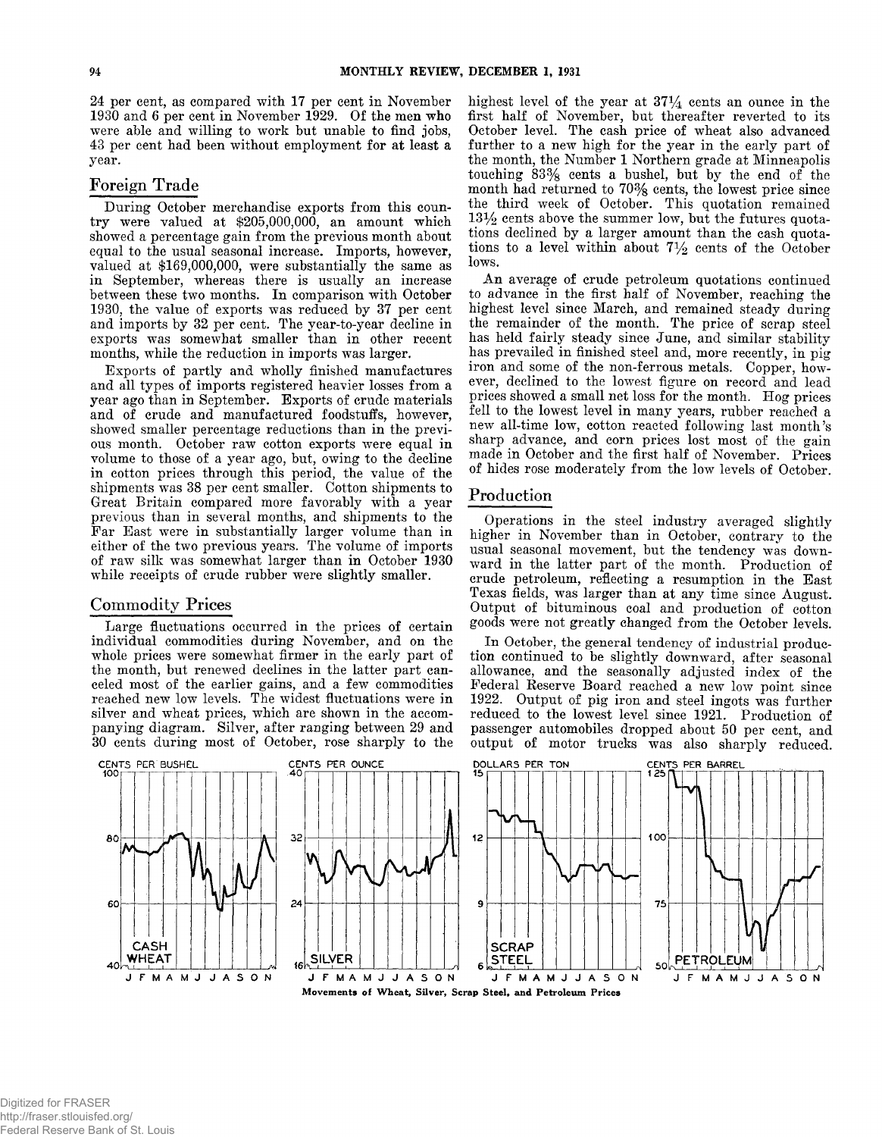**24 per cent, as compared with 17 per cent in November 1930 and 6 per cent in November 1929. Of the men who were able and willing to work but unable to find jobs, 43 per cent had been without employment for at least a year.**

# **Foreign T rade**

**During October merchandise exports from this country were valued at \$205,000,000, an amount which showed a percentage gain from the previous month about equal to the usual seasonal increase. Imports, however, valued at \$169,000,000, were substantially the same as in September, whereas there is usually an increase between these two months. In comparison with October 1930, the value of exports was reduced by 37 per cent and imports by 32 per cent. The year-to-year decline in exports was somewhat smaller than in other recent months, while the reduction in imports was larger.**

**Exports of partly and wholly finished manufactures and all types of imports registered heavier losses from a year ago than in September. Exports of crude materials and of crude and manufactured foodstuffs, however, showed smaller percentage reductions than in the previous month. October raw cotton exports were equal in volume to those of a year ago, but, owing to the decline in cotton prices through this period, the value of the shipments was 38 per cent smaller. Cotton shipments to Great Britain compared more favorably with a year previous than in several months, and shipments to the Far East were in substantially larger volume than in either of the two previous years. The volume of imports of raw silk was somewhat larger than in October 1930 while receipts of crude rubber were slightly smaller.**

# **C om m od ity Prices**

**Large fluctuations occurred in the prices of certain individual commodities during November, and on the whole prices were somewhat firmer in the early part of the month, but renewed declines in the latter part canceled most of the earlier gains, and a few commodities reached new low levels. The widest fluctuations were in silver and wheat prices, which are shown in the accompanying diagram. Silver, after ranging between 29 and 30 cents during most of October, rose sharply to the** **highest level of the year at 37% cents an ounce in the first half of November, but thereafter reverted to its October level. The cash price of wheat also advanced further to a new high for the year in the early part of the month, the Number 1 Northern grade at Minneapolis touching 83% cents a bushel, but by the end of the month had returned to 70% cents, the lowest price since the third week of October. This quotation remained** *13Y2* **cents above the summer low, but the futures quotations declined by a larger amount than the cash quotations to a level within about 7% cents of the October lows.**

**An average of crude petroleum quotations continued to advance in the first half of November, reaching the highest level since March, and remained steady during the remainder of the month. The price of scrap steel has held fairly steady since June, and similar stability has prevailed in finished steel and, more recently, in pig iron and some of the non-ferrous metals. Copper, however, declined to the lowest figure on record and lead prices showed a small net loss for the month. Hog prices fell to the lowest level in many years, rubber reached a new all-time low, cotton reacted following last month's sharp advance, and corn prices lost most of the gain made in October and the first half of November. Prices of hides rose moderately from the low levels of October.**

# **Production**

**Operations in the steel industry averaged slightly higher in November than in October, contrary to the usual seasonal movement, but the tendency was downward in the latter part of the month. Production of crude petroleum, reflecting a resumption in the East Texas fields, was larger than at any time since August. Output of bituminous coal and production of cotton goods were not greatly changed from the October levels.**

**^ In October, the general tendency of industrial production continued to be slightly downward, after seasonal allowance, and the seasonally adjusted index of the Federal Reserve Board reached a new low point since 1922. Output of pig iron and steel ingots was further reduced to the lowest level since 1921. Production of passenger automobiles dropped about 50 per cent, and output of motor trucks was also sharply reduced.**

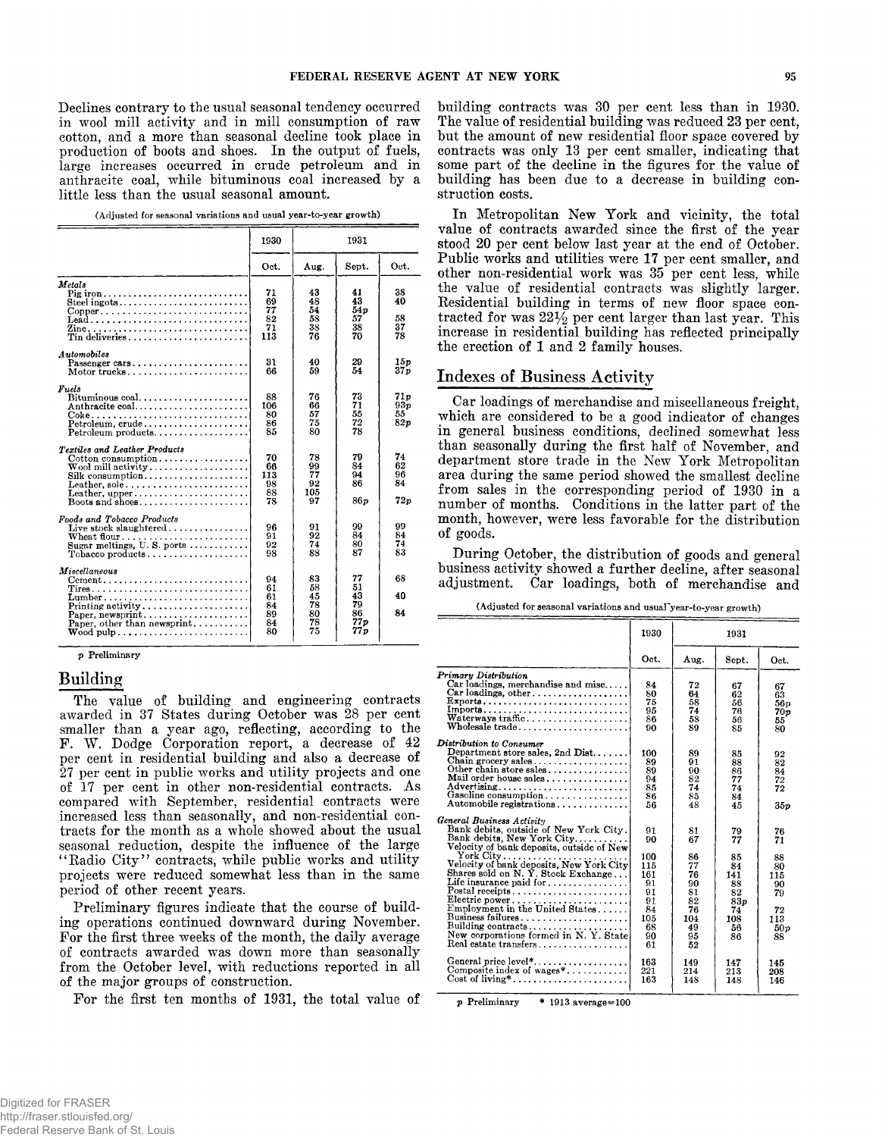**Declines contrary to the nsnal seasonal tendency occurred in wool mill activity and in mill consumption of raw cotton, and a more than seasonal decline took place in production of boots and shoes. In the output of fuels, large increases occurred in crude petroleum and in anthracite coal, while bituminous coal increased by a little less than the usual seasonal amount.**

| (Adjusted for seasonal variations and usual year-to-year growth) |  |  |  |  |
|------------------------------------------------------------------|--|--|--|--|
|------------------------------------------------------------------|--|--|--|--|

|                                                                                                                                                                                                                            | 1930<br>1931                           |                                        |                                          |                                     |
|----------------------------------------------------------------------------------------------------------------------------------------------------------------------------------------------------------------------------|----------------------------------------|----------------------------------------|------------------------------------------|-------------------------------------|
|                                                                                                                                                                                                                            | Oct.                                   | Aug.                                   | Sept.                                    | Oct.                                |
| Metals<br>Steel ingots<br>$Copper \ldots \ldots \ldots \ldots \ldots \ldots \ldots \ldots \ldots$<br>Lead<br>Zine<br>Tin deliveries                                                                                        | 71<br>69<br>77<br>82<br>71<br>113      | 43<br>48<br>54<br>58<br>38<br>76       | 41<br>43<br>54p<br>57<br>38<br>70        | 38<br>40<br>58<br>37<br>78          |
| Automobiles<br>Passenger cars<br>Motor trucks                                                                                                                                                                              | 31<br>66                               | 40<br>59                               | 29<br>54                                 | 15p<br>37p                          |
| Fuels<br>Anthracite coal<br>$Petroleum, crude \ldots \ldots \ldots \ldots$<br>$Petroleum products, \ldots, \ldots, \ldots, \ldots,$                                                                                        | 88<br>106<br>80<br>86<br>85            | 76<br>66<br>57<br>75<br>80             | 73<br>71<br>55<br>72<br>78               | 71p<br>93 <sub>D</sub><br>55<br>82p |
| <b>Textiles and Leather Products</b><br>$\text{Cottom}$ consumption<br>$\operatorname{Wood}\nolimits$ mill activity $\ldots\ldots\ldots\ldots\ldots\ldots\ldots$<br>$Silk$ consumption<br>Leather, sole,<br>Leather, upper | 70<br>66<br>113<br>98<br>88<br>78      | 78<br>99<br>77<br>92<br>105<br>97      | 79<br>84<br>94<br>86<br>86p              | 74<br>62<br>96<br>84<br>72p         |
| Foods and Tobacco Products<br>Live stock slaughtered<br>Wheat flour<br>Sugar meltings, U.S. ports<br>$Tobacco products \ldots \ldots \ldots \ldots \ldots$                                                                 | 96<br>91<br>92<br>98                   | 91<br>92<br>74<br>88                   | 99<br>84<br>80<br>87                     | 99<br>84<br>74<br>83                |
| Miscellaneous<br>$Cement \ldots \ldots \ldots \ldots \ldots \ldots \ldots \ldots \ldots$<br>Printing activity<br>Paper, other than newsprint                                                                               | 94<br>61<br>61<br>84<br>89<br>84<br>80 | 83<br>58<br>45<br>78<br>80<br>78<br>75 | 77<br>51<br>43<br>79<br>86<br>77p<br>77p | 68<br>40<br>84                      |

**p Preliminary**

## **Building**

**The value of building and engineering contracts awarded in 37 States during October was 28 per cent smaller than a year ago, reflecting, according to the F. W. Dodge Corporation report, a decrease of 42 per cent in residential building and also a decrease of 27 per cent in public works and utility projects and one of 17 per cent in other non-residential contracts. As compared with September, residential contracts were increased less than seasonally, and non-residential contracts for the month as a whole showed about the usual seasonal reduction, despite the influence of the large " Radio City" contracts, while public works and utility projects were reduced somewhat less than in the same period of other recent years.**

**Preliminary figures indicate that the course of building operations continued downward during November. For the first three weeks of the month, the daily average of contracts awarded was down more than seasonally from the October level, with reductions reported in all of the major groups of construction.**

For the first ten months of 1931, the total value of

**building contracts was 30 per cent less than in 1930. The value of residential building was reduced 23 per cent, but the amount of new residential floor space covered by contracts was only 13 per cent smaller, indicating that some part of the decline in the figures for the value of building has been due to a decrease in building construction costs.**

**In Metropolitan New York and vicinity, the total value of contracts awarded since the first of the year stood 20 per cent below last year at the end of October. Public works and utilities were 17 per cent smaller, and other non-residential work was 35 per cent less, while the value of residential contracts was slightly larger.** Residential building in terms of new floor space con**tracted for was 22% per cent larger than last year. This increase in residential building has reflected principally the erection of 1 and 2 family houses.**

# **Indexes of Business Activity**

**Car loadings of merchandise and miscellaneous freight, which are considered to be a good indicator of changes in general business conditions, declined somewhat less than seasonally during the first half of November, and department store trade in the New York Metropolitan area during the same period showed the smallest decline from sales in the corresponding period of 1930 in a number of months. Conditions in the latter part of the month, however, were less favorable for the distribution of goods.**

**During October, the distribution of goods and general business activity showed a further decline, after seasonal adjustment. Car loadings, both of merchandise and**

**(Adjusted for seasonal variations and usuaFyear-to-year growth)**

|                                                                                                                                                                                                                                                                                                                                                                                                                                                                                                                                                                                                                                                  | 1930                                                                                                | 1931                                                                                             |                                                                                              |                                                                                         |
|--------------------------------------------------------------------------------------------------------------------------------------------------------------------------------------------------------------------------------------------------------------------------------------------------------------------------------------------------------------------------------------------------------------------------------------------------------------------------------------------------------------------------------------------------------------------------------------------------------------------------------------------------|-----------------------------------------------------------------------------------------------------|--------------------------------------------------------------------------------------------------|----------------------------------------------------------------------------------------------|-----------------------------------------------------------------------------------------|
|                                                                                                                                                                                                                                                                                                                                                                                                                                                                                                                                                                                                                                                  | Oct.                                                                                                | Aug.                                                                                             | Sept.                                                                                        | Oct.                                                                                    |
| Primary Distribution<br>Car loadings, merchandise and misc<br>Car loadings, other<br>Exports<br>Waterways traffic<br>Wholesale trade                                                                                                                                                                                                                                                                                                                                                                                                                                                                                                             | 84<br>80<br>75<br>95<br>86<br>90                                                                    | 72<br>64<br>58<br>74<br>58<br>89                                                                 | 67<br>62<br>56<br>76<br>56<br>85                                                             | 67<br>63<br>56n<br>70 p<br>55<br>80                                                     |
| Distribution to Consumer<br>Department store sales, 2nd $Dist.$<br>Chain grocery sales<br>Other chain store sales<br>Mail order house sales<br>Advertising<br>Gasoline consumption<br>Automobile registrations                                                                                                                                                                                                                                                                                                                                                                                                                                   | 100<br>89<br>89<br>94<br>85<br>86<br>56                                                             | 89<br>91<br>90<br>82<br>74<br>85<br>48                                                           | 85<br>88<br>86<br>77<br>74<br>84<br>45                                                       | 92<br>82<br>84<br>72<br>72<br>35p                                                       |
| General Business Activity<br>Bank debits, outside of New York City.<br>Bank debits, New York City<br>Velocity of bank deposits, outside of New<br>$Y$ ork City<br>Velocity of bank deposits, New York City <br>Shares sold on N.Y. Stock Exchange<br>Life insurance paid for $\dots\dots\dots\dots\dots$<br>$\text{Postal receipts} \dots \dots \dots \dots \dots \dots \dots \dots$<br>Electric power<br>Employment in the United States<br>Business failures<br>Building contracts<br>New corporations formed in N.Y. State<br>Real estate transfers $\ldots \ldots \ldots \ldots \ldots$<br>General price level*<br>Composite index of wages* | 91<br>90<br>100<br>115<br>161<br>91<br>91<br>91<br>84<br>105<br>68<br>90<br>61<br>163<br>221<br>163 | 81<br>67<br>86<br>77<br>76<br>90<br>81<br>82<br>76<br>104<br>49<br>95<br>52<br>149<br>214<br>148 | 79<br>77<br>85<br>84<br>141<br>88<br>82<br>83p<br>74<br>108<br>56<br>86<br>147<br>213<br>148 | 76<br>71<br>88<br>80<br>115<br>90<br>79<br>72<br>113<br>50 v<br>88<br>145<br>208<br>146 |

p Preliminary \* 1913 average=100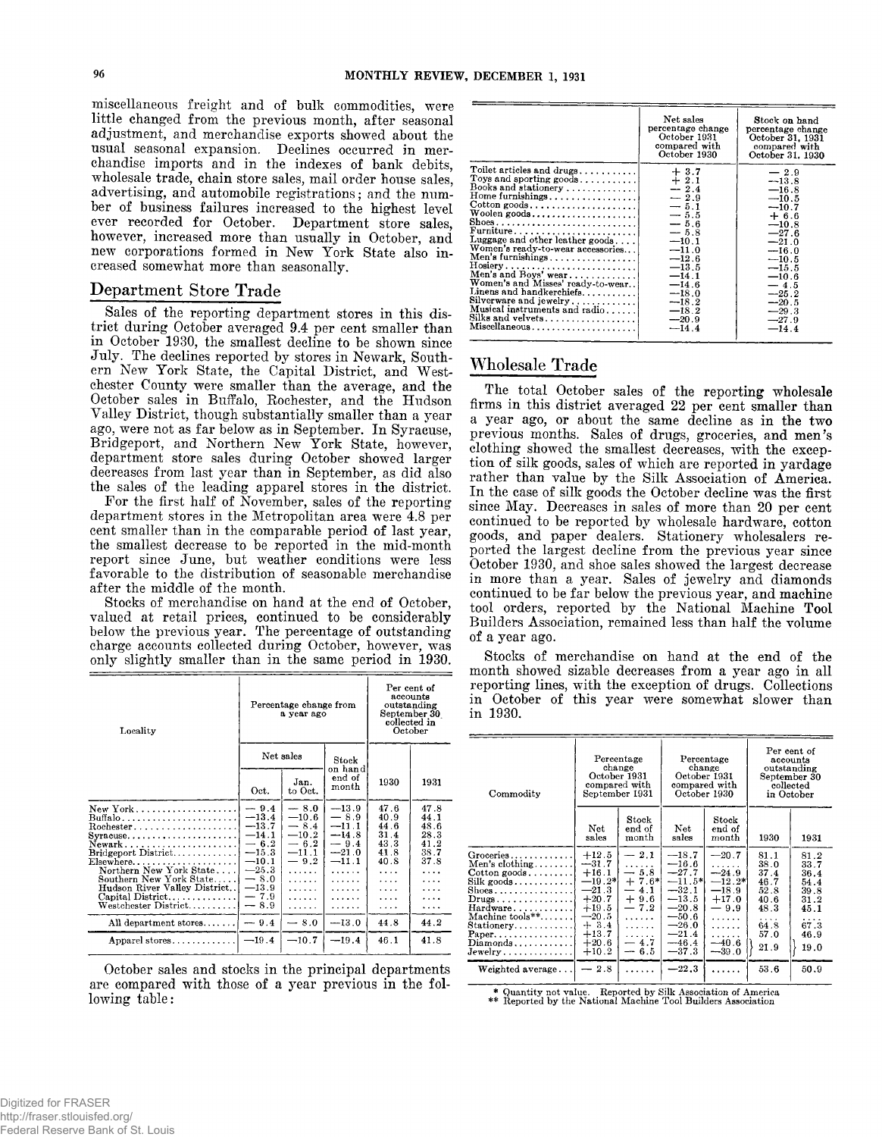**miscellaneous freight and of bulk commodities, were little changed from the previous month, after seasonal adjustment, and merchandise exports showed about the usual seasonal expansion. Declines occurred in merchandise imports and in the indexes of bank debits, wholesale trade, chain store sales, mail order house sales, advertising, and automobile registrations; and the number of business failures increased to the highest level ever recorded for October. Department store sales, however, increased more than usually in October, and new corporations formed in New York State also increased somewhat more than seasonally.**

# **Department Store Trade**

**Sales of the reporting department stores in this district during October averaged 9.4 per cent smaller than in October 1930, the smallest decline to be shown since July. The declines reported by stores in Newark, Southern New York State, the Capital District, and Westchester County were smaller than the average, and the October sales in Buffalo, Rochester, and the Hudson Valley District, though substantially smaller than a year ago, were not as far below as in September. In Syracuse, Bridgeport, and Northern New York State, however, department store sales during October showed larger decreases from last year than in September, as did also the sales of the leading apparel stores in the district.**

**For the first half of November, sales of the reporting department stores in the Metropolitan area were 4.8 per cent smaller than in the comparable period of last year, the smallest decrease to be reported in the mid-month report since June, but weather conditions were less favorable to the distribution of seasonable merchandise after the middle of the month.**

**Stocks of merchandise on hand at the end of October, valued at retail prices, continued to be considerably below the previous year. The percentage of outstanding charge accounts collected during October, however, was only slightly smaller than in the same period in 1930.**

| Locality                                                                                                                                                                     |                                                                         | Percentage change from<br>a year ago                                  | Per cent of<br>accounts<br>outstanding<br>September 30<br>collected in<br>October |                                                      |                                                      |
|------------------------------------------------------------------------------------------------------------------------------------------------------------------------------|-------------------------------------------------------------------------|-----------------------------------------------------------------------|-----------------------------------------------------------------------------------|------------------------------------------------------|------------------------------------------------------|
|                                                                                                                                                                              | Net sales                                                               |                                                                       | Stock<br>on hand                                                                  |                                                      |                                                      |
|                                                                                                                                                                              | Oct.                                                                    | Jan.<br>to Oct.                                                       | end of<br>month                                                                   | 1930                                                 | 1931                                                 |
| New York<br>Buffalo <i></i> .<br>$Rochester.$<br>$Syracuse \ldots \ldots \ldots$<br>Newark, $\ldots$ , $\ldots$ , $\ldots$ , $\ldots$<br>Bridgeport District<br>$E$ lsewhere | $-9.4$<br>$-13.4$<br>$-13.7$<br>$-14.1$<br>$-6.2$<br>$-15.3$<br>$-10.1$ | $-8.0$<br>$-10.6$<br>$-8.4$<br>$-10.2$<br>$-6.2$<br>$-11.1$<br>$-9.2$ | $-13.9$<br>$-8.9$<br>$-11.1$<br>$-14.8$<br>$-9.4$<br>$-21.0$<br>$-11.1$           | 47.6<br>40.9<br>44.6<br>31.4<br>43.3<br>41.8<br>40.8 | 47.8<br>44.1<br>48.6<br>28.3<br>41.2<br>38.7<br>37.8 |
| Northern New York State<br>Southern New York State<br>Hudson River Valley District<br>Capital District<br>${\rm Western\; District.}\dots\dots$                              | $-25.3$<br>$-8.0$<br>$-13.9$<br>$-7.9$<br>$-8.9$                        | .<br>.<br>.<br>.<br>.                                                 | .<br>.<br>.<br>.<br>.                                                             | $\cdots$<br>.<br>.<br>.<br>.                         | .                                                    |
| All department stores                                                                                                                                                        | $-9.4$                                                                  | $-8.0$                                                                | $-13.0$                                                                           | 44.8                                                 | 44.2                                                 |
| Apparel stores                                                                                                                                                               | $-19.4$                                                                 | $-10.7$                                                               | $-19.4$                                                                           | 46.1                                                 | 41.8                                                 |

**October sales and stocks in the principal departments are compared with those of a year previous in the following table:**

|                                                                                                                                                                                                                                                                                                                                                                                                                                                                                                                        | Net sales<br>percentage change<br>October 1931<br>compared with<br>October 1930                                                                                                                       | Stock on hand<br>percentage change<br>October 31, 1931<br>compared with<br>October 31, 1930                                                                                                                |
|------------------------------------------------------------------------------------------------------------------------------------------------------------------------------------------------------------------------------------------------------------------------------------------------------------------------------------------------------------------------------------------------------------------------------------------------------------------------------------------------------------------------|-------------------------------------------------------------------------------------------------------------------------------------------------------------------------------------------------------|------------------------------------------------------------------------------------------------------------------------------------------------------------------------------------------------------------|
| Toilet articles and drugs<br>Toys and sporting goods<br>Books and stationery<br>$\text{Home furnishing}$<br>$\text{Cottom goods.}\ldots\ldots\ldots\ldots\ldots\ldots\ldots$<br>Woolen goods<br>Shoes<br>Furniture<br>Luggage and other leather goods<br>Women's ready-to-wear accessories<br>Men's furnishings<br>$Hosiery$<br>Men's and Boys' wear<br>Women's and Misses' ready-to-wear<br>Linens and handkerchiefs<br>Silverware and jewelry<br>Musical instruments and radio<br>Silks and velvets<br>Miscellaneous | $+3.7$<br>$+2.1$<br>$-2.4$<br>$-2.9$<br>$-5.1$<br>$-5.5$<br>$-5.6$<br>$-5.8$<br>$-10.1$<br>$-11.0$<br>$-12.6$<br>$-13.5$<br>$-14.1$<br>$-14.6$<br>$-18.0$<br>$-18.2$<br>$-18.2$<br>$-20.9$<br>$-14.4$ | $-2.9$<br>$-13.8$<br>$-16.8$<br>$-10.5$<br>$-10.7$<br>$+6.6$<br>$-10.8$<br>$-27.6$<br>$-21.0$<br>$-16.0$<br>$-10.5$<br>$-15.5$<br>$-10.6$<br>$-4.5$<br>$-25.2$<br>$-20.5$<br>$-29.3$<br>$-27.9$<br>$-14.4$ |

# **W holesale Trade**

**The total October sales of the reporting wholesale firms in this district averaged 22 per cent smaller than a year ago, or about the same decline as in the two previous months. Sales of drugs, groceries, and men's clothing showed the smallest decreases, with the exception of silk goods, sales of which are reported in yardage rather than value by the Silk Association of America. In the case of silk goods the October decline was the first since May. Decreases in sales of more than 20 per cent continued to be reported by wholesale hardware, cotton goods, and paper dealers. Stationery wholesalers reported the largest decline from the previous year since October 1930, and shoe sales showed the largest decrease in more than a year. Sales of jewelry and diamonds continued to be far below the previous year, and machine tool orders, reported by the National Machine Tool Builders Association, remained less than half the volume of a year ago.**

**Stocks of merchandise on hand at the end of the month showed sizable decreases from a year ago in all reporting lines, with the exception of drugs. Collections in October of this year were somewhat slower than in 1930.**

| Commodity                                                                                                                                                                                                                                                                              | Percentage<br>change<br>October 1931<br>compared with<br>September 1931                                                           |                                                                                                | Percentage<br>change<br>October 1931<br>compared with<br>October 1930                                                             |                                                                                                          | Per cent of<br>accounts<br>outstanding<br>September 30<br>collected<br>in October |                                                                                   |
|----------------------------------------------------------------------------------------------------------------------------------------------------------------------------------------------------------------------------------------------------------------------------------------|-----------------------------------------------------------------------------------------------------------------------------------|------------------------------------------------------------------------------------------------|-----------------------------------------------------------------------------------------------------------------------------------|----------------------------------------------------------------------------------------------------------|-----------------------------------------------------------------------------------|-----------------------------------------------------------------------------------|
|                                                                                                                                                                                                                                                                                        | Net<br>sales                                                                                                                      | $_{\rm Stock}$<br>end of<br>month                                                              | Net<br>sales                                                                                                                      | Stock<br>end of<br>month                                                                                 | 1930                                                                              | 1931                                                                              |
| Groceries<br>Men's clothing<br>$Cotton goods \ldots$<br>Silk goods<br>$\text{Shoes}\ldots\ldots\ldots\ldots\ldots$<br>$Drugs \ldots \ldots \ldots \ldots$<br>$Hardware \ldots \ldots \ldots$<br>Machine $tools**$<br>Stationery<br>Paper<br>$Diamonds \ldots \ldots \ldots$<br>Jewelry | $+12.5$<br>$-31.7$<br>$+16.1$<br>$-19.2\%$<br>$-21.3$<br>$+20.7$<br>$+19.5$<br>$-20.5$<br>$+3.4$<br>$+13.7$<br>$+20.6$<br>$+10.2$ | $-2.1$<br>.<br>$-5.8$<br>$+7.6*$<br>4.1<br>$+9.6$<br>$-7.2$<br>.<br>.<br>.<br>$-4.7$<br>$-6.5$ | $-18.7$<br>$-16.6$<br>$-27.7$<br>$-11.5*$<br>$-32.1$<br>$-13.5$<br>$-20.8$<br>$-50.6$<br>$-26.0$<br>$-21.4$<br>$-46.4$<br>$-37.3$ | $-20.7$<br>.<br>$-24.9$<br>$-12.2*$<br>$-18.9$<br>$+17.0$<br>$-9.9$<br>.<br>.<br>.<br>$-40.6$<br>$-39.0$ | 81.1<br>38.0<br>37.4<br>46.7<br>52.8<br>40.6<br>48.3<br>.<br>64.8<br>57.0<br>21.9 | 81.2<br>33.7<br>36.4<br>54.4<br>39.8<br>31.2<br>45.1<br>.<br>67.3<br>46.9<br>19.0 |
| Weighted average                                                                                                                                                                                                                                                                       | $-2.8$                                                                                                                            |                                                                                                | $-22.3$                                                                                                                           |                                                                                                          | 53.6                                                                              | 50.9                                                                              |

\* Quantity not value. Reported by Silk Association of America \*\* Reported by the National Machine Tool Builders Association